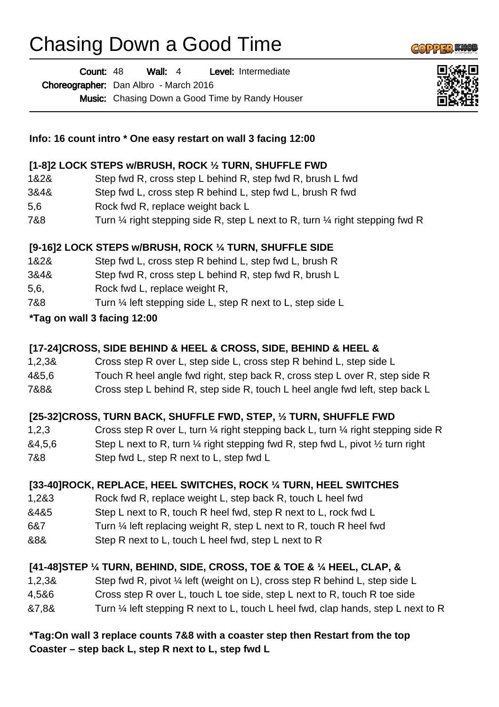# Chasing Down a Good Time

Wall: 4 Level: Intermediate Choreographer: Dan Albro - March 2016 Count: 48

Music: Chasing Down a Good Time by Randy Houser



 $\left(\left(0\right)2\right)13$ 

#### **Info: 16 count intro \* One easy restart on wall 3 facing 12:00**

### **[1-8]2 LOCK STEPS w/BRUSH, ROCK ½ TURN, SHUFFLE FWD**

- 1&2& Step fwd R, cross step L behind R, step fwd R, brush L fwd
- 3&4& Step fwd L, cross step R behind L, step fwd L, brush R fwd
- 5,6 Rock fwd R, replace weight back L
- 7&8 Turn 1/4 right stepping side R, step L next to R, turn 1/4 right stepping fwd R

## **[9-16]2 LOCK STEPS w/BRUSH, ROCK ¼ TURN, SHUFFLE SIDE**

- 1&2& Step fwd L, cross step R behind L, step fwd L, brush R
- 3&4& Step fwd R, cross step L behind R, step fwd R, brush L
- 5,6, Rock fwd L, replace weight R,
- 7&8 Turn 1/4 left stepping side L, step R next to L, step side L

### **\*Tag on wall 3 facing 12:00**

### **[17-24]CROSS, SIDE BEHIND & HEEL & CROSS, SIDE, BEHIND & HEEL &**

- 1,2,3& Cross step R over L, step side L, cross step R behind L, step side L
- 4&5,6 Touch R heel angle fwd right, step back R, cross step L over R, step side R
- 7&8& Cross step L behind R, step side R, touch L heel angle fwd left, step back L

### **[25-32]CROSS, TURN BACK, SHUFFLE FWD, STEP, ½ TURN, SHUFFLE FWD**

- 1,2,3 Cross step R over L, turn ¼ right stepping back L, turn ¼ right stepping side R
- $&4,5,6$  Step L next to R, turn  $\frac{1}{4}$  right stepping fwd R, step fwd L, pivot  $\frac{1}{2}$  turn right
- 7&8 Step fwd L, step R next to L, step fwd L

### **[33-40]ROCK, REPLACE, HEEL SWITCHES, ROCK ¼ TURN, HEEL SWITCHES**

- 1,2&3 Rock fwd R, replace weight L, step back R, touch L heel fwd
- &4&5 Step L next to R, touch R heel fwd, step R next to L, rock fwd L
- 6&7 Turn ¼ left replacing weight R, step L next to R, touch R heel fwd
- &8& Step R next to L, touch L heel fwd, step L next to R

# **[41-48]STEP ¼ TURN, BEHIND, SIDE, CROSS, TOE & TOE & ¼ HEEL, CLAP, &**

- 1,2,3& Step fwd R, pivot ¼ left (weight on L), cross step R behind L, step side L
- 4,5&6 Cross step R over L, touch L toe side, step L next to R, touch R toe side
- &7,8& Turn ¼ left stepping R next to L, touch L heel fwd, clap hands, step L next to R

#### **\*Tag:On wall 3 replace counts 7&8 with a coaster step then Restart from the top Coaster – step back L, step R next to L, step fwd L**